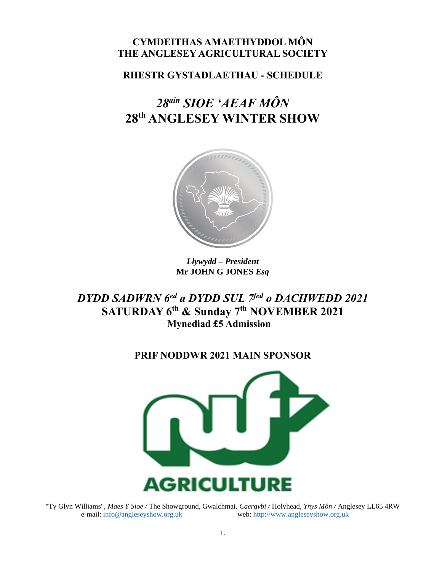## **CYMDEITHAS AMAETHYDDOL MÔN THE ANGLESEY AGRICULTURAL SOCIETY**

**RHESTR GYSTADLAETHAU - SCHEDULE**

# *28 ain SIOE 'AEAF MÔN* **28 th ANGLESEY WINTER SHOW**



*Llywydd – President* **Mr JOHN G JONES** *Esq*

*DYDD SADWRN 6 ed a DYDD SUL 7fed o DACHWEDD 2021* **SATURDAY 6 th & Sunday 7th NOVEMBER 2021 Mynediad £5 Admission** 

## **PRIF NODDWR 2021 MAIN SPONSOR**



"Ty Glyn Williams", *Maes Y Sioe /* The Showground, Gwalchmai, *Caergybi /* Holyhead, *Ynys Môn /* Anglesey LL65 4RW e-mail: [info@angleseyshow.org.uk](mailto:info@angleseyshow.org.uk) web: [http://www.angleseyshow.org.uk](http://www.angleseyshow.org.uk/)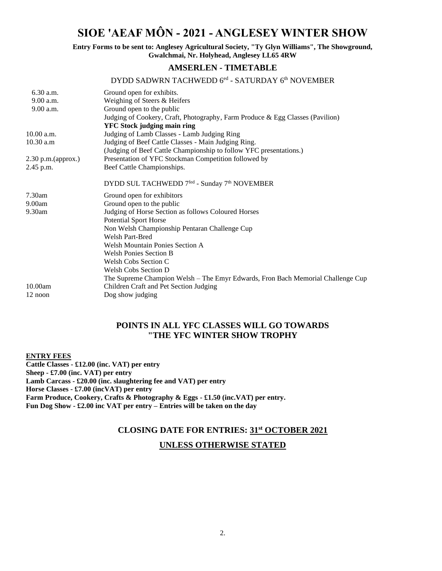## **SIOE 'AEAF MÔN - 2021 - ANGLESEY WINTER SHOW**

**Entry Forms to be sent to: Anglesey Agricultural Society, "Ty Glyn Williams", The Showground, Gwalchmai, Nr. Holyhead, Anglesey LL65 4RW** 

### **AMSERLEN - TIMETABLE**

### DYDD SADWRN TACHWEDD 6<sup>ed</sup> - SATURDAY 6<sup>th</sup> NOVEMBER

| $6.30$ a.m.          | Ground open for exhibits.                                                       |
|----------------------|---------------------------------------------------------------------------------|
| 9.00 a.m.            | Weighing of Steers & Heifers                                                    |
| 9.00 a.m.            | Ground open to the public                                                       |
|                      | Judging of Cookery, Craft, Photography, Farm Produce & Egg Classes (Pavilion)   |
|                      | <b>YFC Stock judging main ring</b>                                              |
| 10.00 a.m.           | Judging of Lamb Classes - Lamb Judging Ring                                     |
| 10.30 a.m            | Judging of Beef Cattle Classes - Main Judging Ring.                             |
|                      | (Judging of Beef Cattle Championship to follow YFC presentations.)              |
| $2.30$ p.m.(approx.) | Presentation of YFC Stockman Competition followed by                            |
| 2.45 p.m.            | Beef Cattle Championships.                                                      |
|                      | DYDD SUL TACHWEDD 7 <sup>fed</sup> - Sunday 7 <sup>th</sup> NOVEMBER            |
| $7.30$ am            | Ground open for exhibitors                                                      |
| 9.00am               | Ground open to the public                                                       |
| 9.30am               | Judging of Horse Section as follows Coloured Horses                             |
|                      | <b>Potential Sport Horse</b>                                                    |
|                      | Non Welsh Championship Pentaran Challenge Cup                                   |
|                      | <b>Welsh Part-Bred</b>                                                          |
|                      | <b>Welsh Mountain Ponies Section A</b>                                          |
|                      | <b>Welsh Ponies Section B</b>                                                   |
|                      | Welsh Cobs Section C                                                            |
|                      | Welsh Cobs Section D                                                            |
|                      | The Supreme Champion Welsh – The Emyr Edwards, Fron Bach Memorial Challenge Cup |
| 10.00am              | Children Craft and Pet Section Judging                                          |
| 12 noon              | Dog show judging                                                                |

### **POINTS IN ALL YFC CLASSES WILL GO TOWARDS "THE YFC WINTER SHOW TROPHY**

**ENTRY FEES Cattle Classes - £12.00 (inc. VAT) per entry Sheep - £7.00 (inc. VAT) per entry Lamb Carcass - £20.00 (inc. slaughtering fee and VAT) per entry Horse Classes - £7.00 (incVAT) per entry Farm Produce, Cookery, Crafts & Photography & Eggs - £1.50 (inc.VAT) per entry. Fun Dog Show - £2.00 inc VAT per entry – Entries will be taken on the day**

### **CLOSING DATE FOR ENTRIES: 31st OCTOBER 2021**

### **UNLESS OTHERWISE STATED**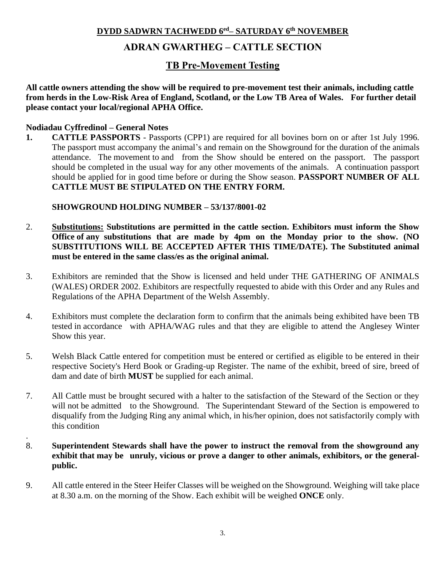### **DYDD SADWRN TACHWEDD 6 ed– SATURDAY 6 th NOVEMBER**

## **ADRAN GWARTHEG – CATTLE SECTION**

## **TB Pre-Movement Testing**

**All cattle owners attending the show will be required to pre-movement test their animals, including cattle from herds in the Low-Risk Area of England, Scotland, or the Low TB Area of Wales. For further detail please contact your local/regional APHA Office.**

### **Nodiadau Cyffredinol – General Notes**

.

**1. CATTLE PASSPORTS** - Passports (CPP1) are required for all bovines born on or after 1st July 1996. The passport must accompany the animal's and remain on the Showground for the duration of the animals attendance. The movement to and from the Show should be entered on the passport. The passport should be completed in the usual way for any other movements of the animals. A continuation passport should be applied for in good time before or during the Show season. **PASSPORT NUMBER OF ALL CATTLE MUST BE STIPULATED ON THE ENTRY FORM.**

**SHOWGROUND HOLDING NUMBER – 53/137/8001-02**

- 2. **Substitutions: Substitutions are permitted in the cattle section. Exhibitors must inform the Show Office of any substitutions that are made by 4pm on the Monday prior to the show. (NO SUBSTITUTIONS WILL BE ACCEPTED AFTER THIS TIME/DATE). The Substituted animal must be entered in the same class/es as the original animal.**
- 3. Exhibitors are reminded that the Show is licensed and held under THE GATHERING OF ANIMALS (WALES) ORDER 2002. Exhibitors are respectfully requested to abide with this Order and any Rules and Regulations of the APHA Department of the Welsh Assembly.
- 4. Exhibitors must complete the declaration form to confirm that the animals being exhibited have been TB tested in accordance with APHA/WAG rules and that they are eligible to attend the Anglesey Winter Show this year.
- 5. Welsh Black Cattle entered for competition must be entered or certified as eligible to be entered in their respective Society's Herd Book or Grading-up Register. The name of the exhibit, breed of sire, breed of dam and date of birth **MUST** be supplied for each animal.
- 7. All Cattle must be brought secured with a halter to the satisfaction of the Steward of the Section or they will not be admitted to the Showground. The Superintendant Steward of the Section is empowered to disqualify from the Judging Ring any animal which, in his/her opinion, does not satisfactorily comply with this condition
- 8. **Superintendent Stewards shall have the power to instruct the removal from the showground any exhibit that may be unruly, vicious or prove a danger to other animals, exhibitors, or the generalpublic.**
- 9. All cattle entered in the Steer Heifer Classes will be weighed on the Showground. Weighing will take place at 8.30 a.m. on the morning of the Show. Each exhibit will be weighed **ONCE** only.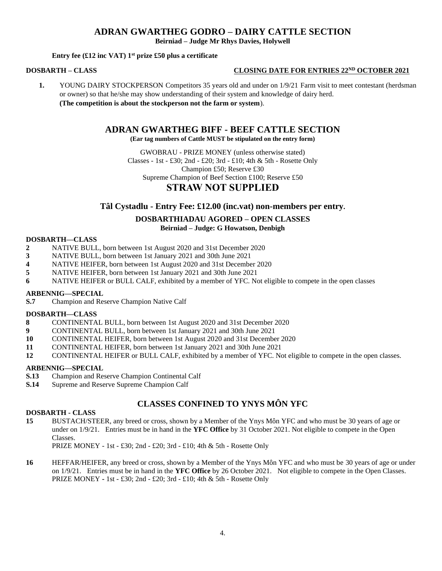### **ADRAN GWARTHEG GODRO – DAIRY CATTLE SECTION**

**Beirniad – Judge Mr Rhys Davies, Holywell** 

### **Entry fee (£12 inc VAT) 1st prize £50 plus a certificate**

### **DOSBARTH – CLASS CLOSING DATE FOR ENTRIES 22ND OCTOBER 2021**

**1.** YOUNG DAIRY STOCKPERSON Competitors 35 years old and under on  $1/9/21$  Farm visit to meet contestant (herdsman or owner) so that he/she may show understanding of their system and knowledge of dairy herd. **(The competition is about the stockperson not the farm or system**).

### **ADRAN GWARTHEG BIFF - BEEF CATTLE SECTION**

**(Ear tag numbers of Cattle MUST be stipulated on the entry form)**

GWOBRAU - PRIZE MONEY (unless otherwise stated) Classes - 1st - £30; 2nd - £20; 3rd - £10; 4th & 5th - Rosette Only Champion £50; Reserve £30 Supreme Champion of Beef Section £100; Reserve £50 **STRAW NOT SUPPLIED**

### **Tâl Cystadlu - Entry Fee: £12.00 (inc.vat) non-members per entry.**

## **DOSBARTHIADAU AGORED – OPEN CLASSES**

### **Beirniad – Judge: G Howatson, Denbigh**

### **DOSBARTH—CLASS**

- **2** NATIVE BULL, born between 1st August 2020 and 31st December 2020
- **3** NATIVE BULL, born between 1st January 2021 and 30th June 2021
- **4** NATIVE HEIFER, born between 1st August 2020 and 31st December 2020
- **5** NATIVE HEIFER, born between 1st January 2021 and 30th June 2021
- **6** NATIVE HEIFER or BULL CALF, exhibited by a member of YFC. Not eligible to compete in the open classes

### **ARBENNIG—SPECIAL**

**S.7** Champion and Reserve Champion Native Calf

### **DOSBARTH—CLASS**

- **8** CONTINENTAL BULL, born between 1st August 2020 and 31st December 2020
- **9** CONTINENTAL BULL, born between 1st January 2021 and 30th June 2021
- **10** CONTINENTAL HEIFER, born between 1st August 2020 and 31st December 2020
- **11** CONTINENTAL HEIFER, born between 1st January 2021 and 30th June 2021
- **12** CONTINENTAL HEIFER or BULL CALF, exhibited by a member of YFC. Not eligible to compete in the open classes.

### **ARBENNIG—SPECIAL**

- **S.13** Champion and Reserve Champion Continental Calf
- **S.14** Supreme and Reserve Supreme Champion Calf

### **CLASSES CONFINED TO YNYS MÔN YFC**

#### **DOSBARTH - CLASS**

**15** BUSTACH/STEER, any breed or cross, shown by a Member of the Ynys Môn YFC and who must be 30 years of age or under on 1/9/21. Entries must be in hand in the **YFC Office** by 31 October 2021. Not eligible to compete in the Open Classes.

PRIZE MONEY - 1st - £30; 2nd - £20; 3rd - £10; 4th & 5th - Rosette Only

**16** HEFFAR/HEIFER, any breed or cross, shown by a Member of the Ynys Môn YFC and who must be 30 years of age or under on 1/9/21. Entries must be in hand in the **YFC Office** by 26 October 2021. Not eligible to compete in the Open Classes. PRIZE MONEY **-** 1st - £30; 2nd - £20; 3rd - £10; 4th & 5th - Rosette Only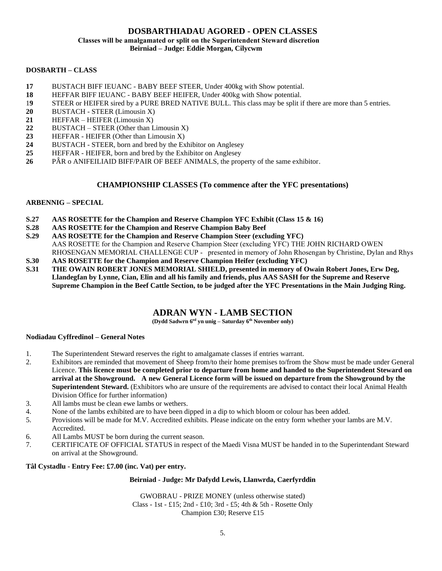#### **DOSBARTHIADAU AGORED - OPEN CLASSES Classes will be amalgamated or split on the Superintendent Steward discretion Beirniad – Judge: Eddie Morgan, Cilycwm**

#### **DOSBARTH – CLASS**

- **17** BUSTACH BIFF IEUANC BABY BEEF STEER, Under 400kg with Show potential.
- **18** HEFFAR BIFF IEUANC BABY BEEF HEIFER, Under 400kg with Show potential.
- 1**9** STEER or HEIFER sired by a PURE BRED NATIVE BULL. This class may be split if there are more than 5 entries.
- **20** BUSTACH STEER (Limousin X)
- **21** HEFFAR HEIFER (Limousin X)
- 22 BUSTACH STEER (Other than Limousin X)
- **23** HEFFAR HEIFER (Other than Limousin X)
- **24** BUSTACH STEER, born and bred by the Exhibitor on Anglesey
- **25** HEFFAR HEIFER, born and bred by the Exhibitor on Anglesey
- **26** PÂR o ANIFEILIAID BIFF/PAIR OF BEEF ANIMALS, the property of the same exhibitor.

### **CHAMPIONSHIP CLASSES (To commence after the YFC presentations)**

### **ARBENNIG – SPECIAL**

- **S.27 AAS ROSETTE for the Champion and Reserve Champion YFC Exhibit (Class 15 & 16)**
- **S.28 AAS ROSETTE for the Champion and Reserve Champion Baby Beef**
- **S.29 AAS ROSETTE for the Champion and Reserve Champion Steer (excluding YFC)**
- AAS ROSETTE for the Champion and Reserve Champion Steer (excluding YFC) THE JOHN RICHARD OWEN RHOSENGAN MEMORIAL CHALLENGE CUP - presented in memory of John Rhosengan by Christine, Dylan and Rhys
- **S.30 AAS ROSETTE for the Champion and Reserve Champion Heifer (excluding YFC)**
- **S.31 THE OWAIN ROBERT JONES MEMORIAL SHIELD, presented in memory of Owain Robert Jones, Erw Deg, Llandegfan by Lynne, Cian, Elin and all his family and friends, plus AAS SASH for the Supreme and Reserve Supreme Champion in the Beef Cattle Section, to be judged after the YFC Presentations in the Main Judging Ring.**

### **ADRAN WYN - LAMB SECTION**

**(Dydd Sadwrn 6 ed yn unig – Saturday 6 th November only)**

#### **Nodiadau Cyffredinol – General Notes**

- 1. The Superintendent Steward reserves the right to amalgamate classes if entries warrant.
- 2. Exhibitors are reminded that movement of Sheep from/to their home premises to/from the Show must be made under General Licence. **This licence must be completed prior to departure from home and handed to the Superintendent Steward on arrival at the Showground. A new General Licence form will be issued on departure from the Showground by the Superintendent Steward.** (Exhibitors who are unsure of the requirements are advised to contact their local Animal Health Division Office for further information)
- 3. All lambs must be clean ewe lambs or wethers.
- 4. None of the lambs exhibited are to have been dipped in a dip to which bloom or colour has been added.
- 5. Provisions will be made for M.V. Accredited exhibits. Please indicate on the entry form whether your lambs are M.V. Accredited.
- 6. All Lambs MUST be born during the current season.
- 7. CERTIFICATE OF OFFICIAL STATUS in respect of the Maedi Visna MUST be handed in to the Superintendant Steward on arrival at the Showground.

### **Tâl Cystadlu - Entry Fee: £7.00 (inc. Vat) per entry.**

### **Beirniad - Judge: Mr Dafydd Lewis, Llanwrda, Caerfyrddin**

GWOBRAU - PRIZE MONEY (unless otherwise stated) Class - 1st - £15; 2nd - £10; 3rd - £5; 4th & 5th - Rosette Only Champion £30; Reserve £15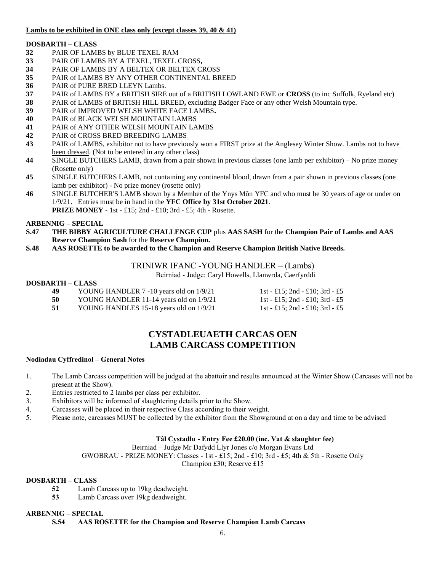### **Lambs to be exhibited in ONE class only (except classes 39, 40 & 41)**

### **DOSBARTH – CLASS**

- **32** PAIR OF LAMBS by BLUE TEXEL RAM
- **33** PAIR OF LAMBS BY A TEXEL, TEXEL CROSS**,**
- **34** PAIR OF LAMBS BY A BELTEX OR BELTEX CROSS
- **35** PAIR of LAMBS BY ANY OTHER CONTINENTAL BREED
- **36** PAIR of PURE BRED LLEYN Lambs.
- **37** PAIR of LAMBS BY a BRITISH SIRE out of a BRITISH LOWLAND EWE or **CROSS** (to inc Suffolk, Ryeland etc)
- **38** PAIR of LAMBS of BRITISH HILL BREED**,** excluding Badger Face or any other Welsh Mountain type.
- **39** PAIR of IMPROVED WELSH WHITE FACE LAMBS**.**
- **40** PAIR of BLACK WELSH MOUNTAIN LAMBS
- **41** PAIR of ANY OTHER WELSH MOUNTAIN LAMBS
- **42** PAIR of CROSS BRED BREEDING LAMBS
- **43** PAIR of LAMBS, exhibitor not to have previously won a FIRST prize at the Anglesey Winter Show. Lambs not to have been dressed. (Not to be entered in any other class)
- **44** SINGLE BUTCHERS LAMB, drawn from a pair shown in previous classes (one lamb per exhibitor) No prize money (Rosette only)
- **45** SINGLE BUTCHERS LAMB, not containing any continental blood, drawn from a pair shown in previous classes (one lamb per exhibitor) - No prize money (rosette only)
- **46** SINGLE BUTCHER'S LAMB shown by a Member of the Ynys Môn YFC and who must be 30 years of age or under on 1/9/21. Entries must be in hand in the **YFC Office by 31st October 2021**. **PRIZE MONEY -** 1st - £15; 2nd - £10; 3rd - £5; 4th - Rosette.

### **ARBENNIG – SPECIAL**

- **S.47 THE BIBBY AGRICULTURE CHALLENGE CUP** plus **AAS SASH** for the **Champion Pair of Lambs and AAS Reserve Champion Sash** for the **Reserve Champion.**
- **S.48 AAS ROSETTE to be awarded to the Champion and Reserve Champion British Native Breeds.**

### TRINIWR IFANC -YOUNG HANDLER – (Lambs)

Beirniad - Judge: Caryl Howells, Llanwrda, Caerfyrddi

### **DOSBARTH – CLASS**

- **49** YOUNG HANDLER 7 -10 years old on  $1/9/21$  1st £15; 2nd £10; 3rd £5
- **50** YOUNG HANDLER 11-14 years old on  $1/9/21$  1st £15; 2nd £10; 3rd £5
- **51** YOUNG HANDLES 15-18 years old on  $1/9/21$  1st £15; 2nd £10; 3rd £5

## **CYSTADLEUAETH CARCAS OEN LAMB CARCASS COMPETITION**

### **Nodiadau Cyffredinol – General Notes**

- 1. The Lamb Carcass competition will be judged at the abattoir and results announced at the Winter Show (Carcases will not be present at the Show).
- 2. Entries restricted to 2 lambs per class per exhibitor.
- 3. Exhibitors will be informed of slaughtering details prior to the Show.
- 4. Carcasses will be placed in their respective Class according to their weight.
- 5. Please note, carcasses MUST be collected by the exhibitor from the Showground at on a day and time to be advised

### **Tâl Cystadlu - Entry Fee £20.00 (inc. Vat & slaughter fee)**

Beirniad – Judge Mr Dafydd Llyr Jones c/o Morgan Evans Ltd

GWOBRAU - PRIZE MONEY: Classes - 1st - £15; 2nd - £10; 3rd - £5; 4th & 5th - Rosette Only

Champion £30; Reserve £15

### **DOSBARTH – CLASS**

- **52** Lamb Carcass up to 19kg deadweight.
- **53** Lamb Carcass over 19kg deadweight.

### **ARBENNIG – SPECIAL**

**S.54 AAS ROSETTE for the Champion and Reserve Champion Lamb Carcass**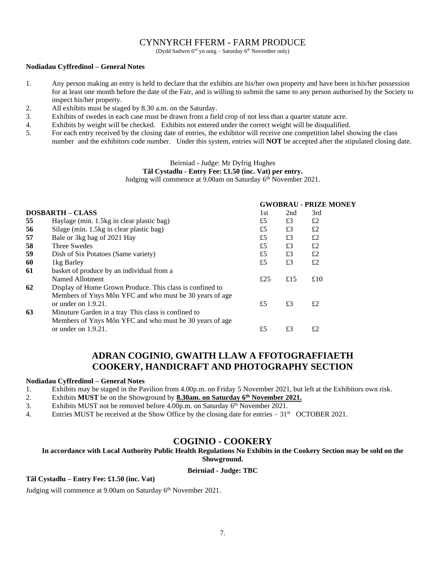### CYNNYRCH FFERM - FARM PRODUCE

(Dydd Sadwrn 6<sup>ed</sup> yn unig – Saturday 6<sup>th</sup> November only)

#### **Nodiadau Cyffredinol – General Notes**

- 1. Any person making an entry is held to declare that the exhibits are his/her own property and have been in his/her possession for at least one month before the date of the Fair, and is willing to submit the same to any person authorised by the Society to inspect his/her property.
- 2. All exhibits must be staged by 8.30 a.m. on the Saturday.
- 3. Exhibits of swedes in each case must be drawn from a field crop of not less than a quarter statute acre.
- 4. Exhibits by weight will be checked. Exhibits not entered under the correct weight will be disqualified.
- 5. For each entry received by the closing date of entries, the exhibitor will receive one competition label showing the class number and the exhibitors code number. Under this system, entries will **NOT** be accepted after the stipulated closing date.

### Beirniad - Judge: Mr Dyfrig Hughes

### **Tâl Cystadlu - Entry Fee: £1.50 (inc. Vat) per entry.**

Judging will commence at 9.00am on Saturday 6<sup>th</sup> November 2021.

|    |                                                          |     |     | <b>GWOBRAU - PRIZE MONEY</b> |
|----|----------------------------------------------------------|-----|-----|------------------------------|
|    | <b>DOSBARTH – CLASS</b>                                  | 1st | 2nd | 3rd                          |
| 55 | Haylage (min. 1.5kg in clear plastic bag)                | £5  | £3  | £2                           |
| 56 | Silage (min. 1.5kg in clear plastic bag)                 | £5  | £3  | £2                           |
| 57 | Bale or 3kg bag of 2021 Hay                              | £5  | £3  | £2                           |
| 58 | Three Swedes                                             | £5  | £3  | £2                           |
| 59 | Dish of Six Potatoes (Same variety)                      | £5  | £3  | £2                           |
| 60 | 1kg Barley                                               | £5  | £3  | £2                           |
| 61 | basket of produce by an individual from a                |     |     |                              |
|    | Named Allotment                                          | £25 | £15 | £10                          |
| 62 | Display of Home Grown Produce. This class is confined to |     |     |                              |
|    | Members of Ynys Môn YFC and who must be 30 years of age  |     |     |                              |
|    | or under on $1.9.21$ .                                   | £5  | £3  | £2                           |
| 63 | Minuture Garden in a tray This class is confined to      |     |     |                              |
|    | Members of Ynys Môn YFC and who must be 30 years of age  |     |     |                              |
|    | or under on $1.9.21$ .                                   | £5  | £3  | £2                           |
|    |                                                          |     |     |                              |

### **ADRAN COGINIO, GWAITH LLAW A FFOTOGRAFFIAETH COOKERY, HANDICRAFT AND PHOTOGRAPHY SECTION**

#### **Nodiadau Cyffredinol – General Notes**

- 1. Exhibits may be staged in the Pavilion from 4.00p.m. on Friday 5 November 2021, but left at the Exhibitors own risk.
- 2. Exhibits **MUST** be on the Showground by **8.30am. on Saturday 6 th November 2021.**
- 3. Exhibits MUST not be removed before 4.00p.m. on Saturday 6<sup>th</sup> November 2021.
- 4. Entries MUST be received at the Show Office by the closing date for entries  $-31^{st}$  OCTOBER 2021.

### **COGINIO - COOKERY**

**In accordance with Local Authority Public Health Regulations No Exhibits in the Cookery Section may be sold on the Showground.**

#### **Beirniad - Judge: TBC**

### **Tâl Cystadlu – Entry Fee: £1.50 (inc. Vat)**

Judging will commence at 9.00am on Saturday 6<sup>th</sup> November 2021.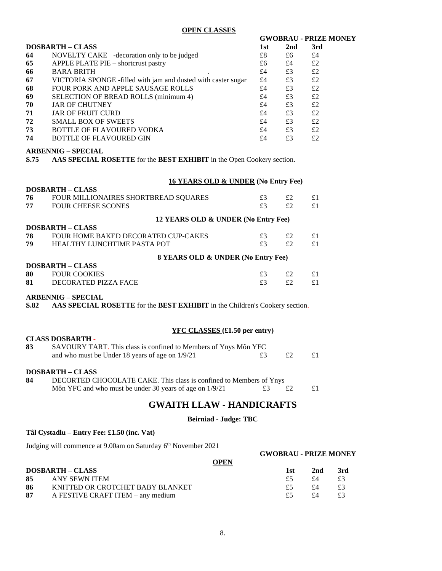**OPEN CLASSES**

#### **GWOBRAU - PRIZE MONEY**

|    | <b>DOSBARTH – CLASS</b>                                       | 1st | 2nd | 3rd |
|----|---------------------------------------------------------------|-----|-----|-----|
| 64 | NOVELTY CAKE -decoration only to be judged                    | £8  | £6  | £4  |
| 65 | APPLE PLATE PIE - shortcrust pastry                           | £6  | £4  | £2  |
| 66 | <b>BARA BRITH</b>                                             | £4  | £3  | £2  |
| 67 | VICTORIA SPONGE -filled with jam and dusted with caster sugar | £4  | £3  | £2  |
| 68 | FOUR PORK AND APPLE SAUSAGE ROLLS                             | £4  | £3  | £2  |
| 69 | SELECTION OF BREAD ROLLS (minimum 4)                          | £4  | £3  | £2  |
| 70 | <b>JAR OF CHUTNEY</b>                                         | £4  | £3  | £2  |
| 71 | <b>JAR OF FRUIT CURD</b>                                      | £4  | £3  | £2  |
| 72 | <b>SMALL BOX OF SWEETS</b>                                    | £4  | £3  | £2  |
| 73 | BOTTLE OF FLAVOURED VODKA                                     | £4  | £3  | £2  |
| 74 | <b>BOTTLE OF FLAVOURED GIN</b>                                | £4  | £3  | £2  |

### **ARBENNIG – SPECIAL**

**DOSBARTH – CLASS**

**S.75 AAS SPECIAL ROSETTE** for the **BEST EXHIBIT** in the Open Cookery section.

#### **16 YEARS OLD & UNDER (No Entry Fee)**

| FOUR MILLIONAIRES SHORTBREAD SQUARES<br>76<br>£3<br>£2<br>77<br><b>FOUR CHEESE SCONES</b><br>£3<br>£2<br>12 YEARS OLD & UNDER (No Entry Fee)<br><b>DOSBARTH – CLASS</b><br>78<br><b>FOUR HOME BAKED DECORATED CUP-CAKES</b><br>£3<br>£2<br>79<br>£3<br>£2<br>HEALTHY LUNCHTIME PASTA POT<br>8 YEARS OLD & UNDER (No Entry Fee)<br><b>DOSBARTH – CLASS</b><br>80<br><b>FOUR COOKIES</b><br>£3<br>£2<br>81<br>DECORATED PIZZA FACE<br>£3<br>£2 |  |  |    |
|----------------------------------------------------------------------------------------------------------------------------------------------------------------------------------------------------------------------------------------------------------------------------------------------------------------------------------------------------------------------------------------------------------------------------------------------|--|--|----|
|                                                                                                                                                                                                                                                                                                                                                                                                                                              |  |  | £1 |
|                                                                                                                                                                                                                                                                                                                                                                                                                                              |  |  | £1 |
|                                                                                                                                                                                                                                                                                                                                                                                                                                              |  |  |    |
|                                                                                                                                                                                                                                                                                                                                                                                                                                              |  |  |    |
|                                                                                                                                                                                                                                                                                                                                                                                                                                              |  |  | £1 |
|                                                                                                                                                                                                                                                                                                                                                                                                                                              |  |  | £1 |
|                                                                                                                                                                                                                                                                                                                                                                                                                                              |  |  |    |
|                                                                                                                                                                                                                                                                                                                                                                                                                                              |  |  |    |
|                                                                                                                                                                                                                                                                                                                                                                                                                                              |  |  | £1 |
|                                                                                                                                                                                                                                                                                                                                                                                                                                              |  |  | £1 |

### **ARBENNIG – SPECIAL**

**S.82 AAS SPECIAL ROSETTE** for the **BEST EXHIBIT** in the Children's Cookery section.

#### **YFC CLASSES (£1.50 per entry)**

| 83 | SAVOURY TART. This class is confined to Members of Ynys Môn YFC |         |    |
|----|-----------------------------------------------------------------|---------|----|
|    | and who must be Under 18 years of age on 1/9/21                 | $\pm 2$ | £1 |

#### **DOSBARTH – CLASS**

**CLASS DOSBARTH -**

**84** DECORTED CHOCOLATE CAKE. This class is confined to Members of Ynys Môn YFC and who must be under 30 years of age on  $1/9/21$   $\qquad 23$   $\qquad$  £2  $\qquad$  £1

### **GWAITH LLAW - HANDICRAFTS**

#### **Beirniad - Judge: TBC**

#### **Tâl Cystadlu – Entry Fee: £1.50 (inc. Vat)**

Judging will commence at 9.00am on Saturday 6<sup>th</sup> November 2021

|     |                                   |             | <b>GWOBRAU - PRIZE MONEY</b> |     |      |
|-----|-----------------------------------|-------------|------------------------------|-----|------|
|     |                                   | <b>OPEN</b> |                              |     |      |
|     | <b>DOSBARTH – CLASS</b>           |             | 1st                          | 2nd | -3rd |
|     | 85 ANY SEWN ITEM                  |             | £5                           | £4  | £3   |
| -86 | KNITTED OR CROTCHET BABY BLANKET  |             | £5                           | £4  | £3   |
| 87  | A FESTIVE CRAFT ITEM – any medium |             | £5                           | f4  | £3   |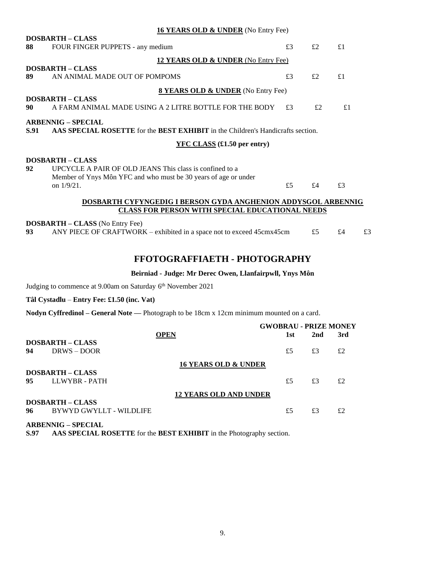|      | <b>16 YEARS OLD &amp; UNDER</b> (No Entry Fee)                                  |    |       |    |    |
|------|---------------------------------------------------------------------------------|----|-------|----|----|
|      | <b>DOSBARTH - CLASS</b>                                                         |    |       |    |    |
| 88   | FOUR FINGER PUPPETS - any medium                                                | £3 | f2    | £1 |    |
|      | 12 YEARS OLD & UNDER (No Entry Fee)                                             |    |       |    |    |
|      | <b>DOSBARTH - CLASS</b>                                                         |    |       |    |    |
| 89   | AN ANIMAL MADE OUT OF POMPOMS                                                   | £3 | £2    | £1 |    |
|      | <b>8 YEARS OLD &amp; UNDER</b> (No Entry Fee)                                   |    |       |    |    |
|      | <b>DOSBARTH - CLASS</b>                                                         |    |       |    |    |
| 90   | A FARM ANIMAL MADE USING A 2 LITRE BOTTLE FOR THE BODY                          | £3 | f2    | £1 |    |
|      | <b>ARBENNIG – SPECIAL</b>                                                       |    |       |    |    |
| S.91 | AAS SPECIAL ROSETTE for the BEST EXHIBIT in the Children's Handicrafts section. |    |       |    |    |
|      | $YFC CLASS$ (£1.50 per entry)                                                   |    |       |    |    |
|      | <b>DOSBARTH - CLASS</b>                                                         |    |       |    |    |
| 92   | UPCYCLE A PAIR OF OLD JEANS This class is confined to a                         |    |       |    |    |
|      | Member of Ynys Môn YFC and who must be 30 years of age or under                 |    |       |    |    |
|      | on $1/9/21$ .                                                                   | £5 | $f_4$ | £3 |    |
|      | DOSBARTH CYFYNGEDIG I BERSON GYDA ANGHENION ADDYSGOL ARBENNIG                   |    |       |    |    |
|      | <b>CLASS FOR PERSON WITH SPECIAL EDUCATIONAL NEEDS</b>                          |    |       |    |    |
|      | <b>DOSBARTH – CLASS</b> (No Entry Fee)                                          |    |       |    |    |
| 93   | ANY PIECE OF CRAFTWORK – exhibited in a space not to exceed 45cmx45cm           |    | £5    | £4 | £3 |

### **FFOTOGRAFFIAETH - PHOTOGRAPHY**

### **Beirniad - Judge: Mr Derec Owen, Llanfairpwll, Ynys Môn**

Judging to commence at 9.00am on Saturday 6<sup>th</sup> November 2021

**Tâl Cystadlu** – **Entry Fee: £1.50 (inc. Vat)**

**Nodyn Cyffredinol – General Note —** Photograph to be 18cm x 12cm minimum mounted on a card.

| 3rd |
|-----|
|     |
|     |
| £2  |
|     |
|     |
| £2  |
|     |
|     |
| £2  |
| 2nd |

**ARBENNIG – SPECIAL**

**S.97 AAS SPECIAL ROSETTE** for the **BEST EXHIBIT** in the Photography section.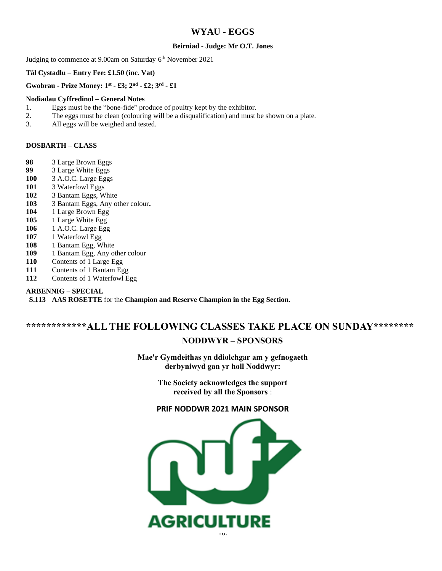### **WYAU - EGGS**

#### **Beirniad - Judge: Mr O.T. Jones**

Judging to commence at 9.00am on Saturday 6<sup>th</sup> November 2021

#### **Tâl Cystadlu** – **Entry Fee: £1.50 (inc. Vat)**

#### **Gwobrau - Prize Money: 1st - £3; 2nd - £2; 3rd - £1**

#### **Nodiadau Cyffredinol – General Notes**

- 1. Eggs must be the "bone-fide" produce of poultry kept by the exhibitor.
- 2. The eggs must be clean (colouring will be a disqualification) and must be shown on a plate.
- 3. All eggs will be weighed and tested.

#### **DOSBARTH – CLASS**

- **98** 3 Large Brown Eggs
- **99** 3 Large White Eggs
- **100** 3 A.O.C. Large Eggs
- **101** 3 Waterfowl Eggs
- **102** 3 Bantam Eggs, White
- **103** 3 Bantam Eggs, Any other colour**.**
- **104** 1 Large Brown Egg
- **105** 1 Large White Egg
- **106** 1 A.O.C. Large Egg
- **107** 1 Waterfowl Egg
- **108** 1 Bantam Egg, White
- **109** 1 Bantam Egg, Any other colour
- **110** Contents of 1 Large Egg
- **111** Contents of 1 Bantam Egg
- **112** Contents of 1 Waterfowl Egg

#### **ARBENNIG – SPECIAL**

**S.113 AAS ROSETTE** for the **Champion and Reserve Champion in the Egg Section**.

## **\*\*\*\*\*\*\*\*\*\*\*\*ALL THE FOLLOWING CLASSES TAKE PLACE ON SUNDAY\*\*\*\*\*\*\*\* NODDWYR – SPONSORS**

**Mae'r Gymdeithas yn ddiolchgar am y gefnogaeth derbyniwyd gan yr holl Noddwyr:**

> **The Society acknowledges the support received by all the Sponsors** :

### **PRIF NODDWR 2021 MAIN SPONSOR**

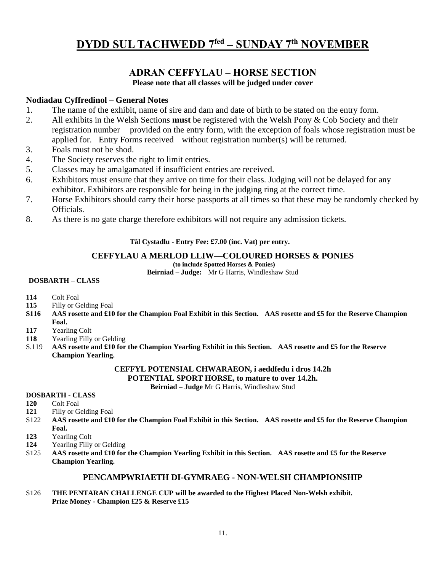## **DYDD SUL TACHWEDD 7fed – SUNDAY 7th NOVEMBER**

### **ADRAN CEFFYLAU – HORSE SECTION**

**Please note that all classes will be judged under cover**

### **Nodiadau Cyffredinol – General Notes**

- 1. The name of the exhibit, name of sire and dam and date of birth to be stated on the entry form.
- 2. All exhibits in the Welsh Sections **must** be registered with the Welsh Pony & Cob Society and their registration number provided on the entry form, with the exception of foals whose registration must be applied for. Entry Forms received without registration number(s) will be returned.
- 3. Foals must not be shod.
- 4. The Society reserves the right to limit entries.
- 5. Classes may be amalgamated if insufficient entries are received.
- 6. Exhibitors must ensure that they arrive on time for their class. Judging will not be delayed for any exhibitor. Exhibitors are responsible for being in the judging ring at the correct time.
- 7. Horse Exhibitors should carry their horse passports at all times so that these may be randomly checked by Officials.
- 8. As there is no gate charge therefore exhibitors will not require any admission tickets.

### **Tâl Cystadlu - Entry Fee: £7.00 (inc. Vat) per entry.**

### **CEFFYLAU A MERLOD LLIW—COLOURED HORSES & PONIES**

**(to include Spotted Horses & Ponies)**

**Beirniad – Judge:** Mr G Harris, Windleshaw Stud

### **DOSBARTH – CLASS**

- **114** Colt Foal
- **115** Filly or Gelding Foal
- **S116 AAS rosette and £10 for the Champion Foal Exhibit in this Section. AAS rosette and £5 for the Reserve Champion Foal.**
- **117** Yearling Colt
- **118** Yearling Filly or Gelding
- S.119 **AAS rosette and £10 for the Champion Yearling Exhibit in this Section. AAS rosette and £5 for the Reserve Champion Yearling.**

### **CEFFYL POTENSIAL CHWARAEON, i aeddfedu i dros 14.2h**

**POTENTIAL SPORT HORSE, to mature to over 14.2h.**

**Beirniad – Judge** Mr G Harris, Windleshaw Stud

### **DOSBARTH - CLASS**

- **120** Colt Foal
- **121** Filly or Gelding Foal
- S122 **AAS rosette and £10 for the Champion Foal Exhibit in this Section. AAS rosette and £5 for the Reserve Champion Foal.**
- **123** Yearling Colt
- **124** Yearling Filly or Gelding
- S125 **AAS rosette and £10 for the Champion Yearling Exhibit in this Section. AAS rosette and £5 for the Reserve Champion Yearling.**

### **PENCAMPWRIAETH DI-GYMRAEG - NON-WELSH CHAMPIONSHIP**

S126 **THE PENTARAN CHALLENGE CUP will be awarded to the Highest Placed Non-Welsh exhibit. Prize Money - Champion £25 & Reserve £15**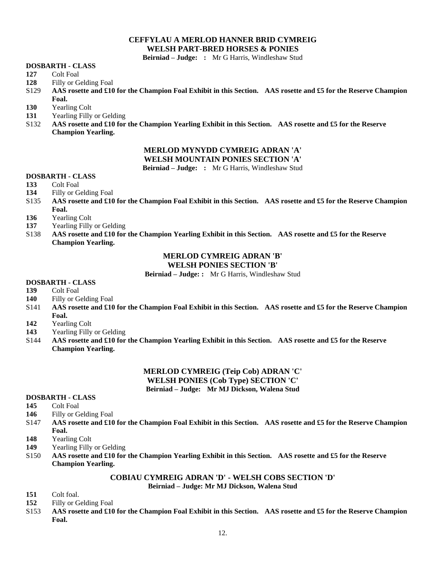### **CEFFYLAU A MERLOD HANNER BRID CYMREIG WELSH PART-BRED HORSES & PONIES**

**Beirniad – Judge: :** Mr G Harris, Windleshaw Stud

#### **DOSBARTH - CLASS**

- **127** Colt Foal
- **128** Filly or Gelding Foal
- S129 **AAS rosette and £10 for the Champion Foal Exhibit in this Section. AAS rosette and £5 for the Reserve Champion Foal.**
- **130** Yearling Colt
- **131** Yearling Filly or Gelding
- S132 **AAS rosette and £10 for the Champion Yearling Exhibit in this Section. AAS rosette and £5 for the Reserve Champion Yearling.**

### **MERLOD MYNYDD CYMREIG ADRAN 'A'**

**WELSH MOUNTAIN PONIES SECTION 'A'**

**Beirniad – Judge: :** Mr G Harris, Windleshaw Stud

### **DOSBARTH - CLASS**

- **133** Colt Foal
- **134** Filly or Gelding Foal
- S135 **AAS rosette and £10 for the Champion Foal Exhibit in this Section. AAS rosette and £5 for the Reserve Champion Foal.**
- **136** Yearling Colt
- **137** Yearling Filly or Gelding
- S138 **AAS rosette and £10 for the Champion Yearling Exhibit in this Section. AAS rosette and £5 for the Reserve Champion Yearling.**

### **MERLOD CYMREIG ADRAN 'B'**

### **WELSH PONIES SECTION 'B'**

**Beirniad – Judge: :** Mr G Harris, Windleshaw Stud

### **DOSBARTH - CLASS**

- **139** Colt Foal
- **140** Filly or Gelding Foal
- S141 **AAS rosette and £10 for the Champion Foal Exhibit in this Section. AAS rosette and £5 for the Reserve Champion Foal.**
- **142** Yearling Colt
- **143** Yearling Filly or Gelding
- S144 **AAS rosette and £10 for the Champion Yearling Exhibit in this Section. AAS rosette and £5 for the Reserve Champion Yearling.**

### **MERLOD CYMREIG (Teip Cob) ADRAN 'C' WELSH PONIES (Cob Type) SECTION 'C' Beirniad – Judge: Mr MJ Dickson, Walena Stud**

#### **DOSBARTH - CLASS**

- **145** Colt Foal
- **146** Filly or Gelding Foal
- S147 **AAS rosette and £10 for the Champion Foal Exhibit in this Section. AAS rosette and £5 for the Reserve Champion Foal.**
- **148** Yearling Colt
- **149** Yearling Filly or Gelding
- S150 **AAS rosette and £10 for the Champion Yearling Exhibit in this Section. AAS rosette and £5 for the Reserve Champion Yearling.**

### **COBIAU CYMREIG ADRAN 'D' - WELSH COBS SECTION 'D'**

**Beirniad – Judge: Mr MJ Dickson, Walena Stud**

- **151** Colt foal.
- **152** Filly or Gelding Foal
- S153 **AAS rosette and £10 for the Champion Foal Exhibit in this Section. AAS rosette and £5 for the Reserve Champion Foal.**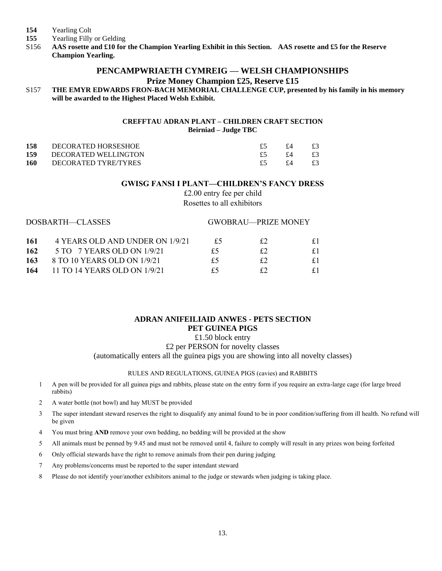- **154** Yearling Colt
- **155** Yearling Filly or Gelding
- S156 **AAS rosette and £10 for the Champion Yearling Exhibit in this Section. AAS rosette and £5 for the Reserve Champion Yearling.**

### **PENCAMPWRIAETH CYMREIG — WELSH CHAMPIONSHIPS Prize Money Champion £25, Reserve £15**

S157 **THE EMYR EDWARDS FRON-BACH MEMORIAL CHALLENGE CUP, presented by his family in his memory will be awarded to the Highest Placed Welsh Exhibit.**

#### **CREFFTAU ADRAN PLANT – CHILDREN CRAFT SECTION Beirniad – Judge TBC**

| 158 | DECORATED HORSESHOE  | $f_4$ | £3      |
|-----|----------------------|-------|---------|
| 159 | DECORATED WELLINGTON | $f_4$ | $\pm 3$ |
| 160 | DECORATED TYRE/TYRES | fΔ    | £3      |

#### **GWISG FANSI I PLANT—CHILDREN'S FANCY DRESS**

£2.00 entry fee per child Rosettes to all exhibitors

| DOSBARTH—CLASSES |                                 |    | <b>GWOBRAU—PRIZE MONEY</b> |    |
|------------------|---------------------------------|----|----------------------------|----|
| -161             | 4 YEARS OLD AND UNDER ON 1/9/21 | £5 | £2                         |    |
| 162              | 5 TO 7 YEARS OLD ON 1/9/21      | £5 | £2                         | £1 |
| 163              | 8 TO 10 YEARS OLD ON 1/9/21     | £5 | £2                         | £1 |
| 164              | 11 TO 14 YEARS OLD ON 1/9/21    | £5 | £2                         |    |

### **ADRAN ANIFEILIAID ANWES - PETS SECTION PET GUINEA PIGS**

£1.50 block entry

£2 per PERSON for novelty classes

(automatically enters all the guinea pigs you are showing into all novelty classes)

#### RULES AND REGULATIONS, GUINEA PIGS (cavies) and RABBITS

- 1 A pen will be provided for all guinea pigs and rabbits, please state on the entry form if you require an extra-large cage (for large breed rabbits)
- 2 A water bottle (not bowl) and hay MUST be provided
- 3 The super intendant steward reserves the right to disqualify any animal found to be in poor condition/suffering from ill health. No refund will be given
- 4 You must bring **AND** remove your own bedding, no bedding will be provided at the show
- 5 All animals must be penned by 9.45 and must not be removed until 4, failure to comply will result in any prizes won being forfeited
- 6 Only official stewards have the right to remove animals from their pen during judging
- 7 Any problems/concerns must be reported to the super intendant steward
- 8 Please do not identify your/another exhibitors animal to the judge or stewards when judging is taking place.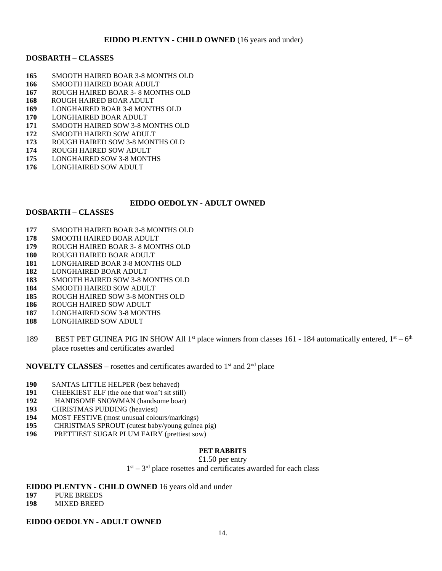### **EIDDO PLENTYN - CHILD OWNED** (16 years and under)

### **DOSBARTH – CLASSES**

- SMOOTH HAIRED BOAR 3-8 MONTHS OLD
- SMOOTH HAIRED BOAR ADULT
- ROUGH HAIRED BOAR 3- 8 MONTHS OLD
- ROUGH HAIRED BOAR ADULT
- LONGHAIRED BOAR 3-8 MONTHS OLD
- LONGHAIRED BOAR ADULT
- SMOOTH HAIRED SOW 3-8 MONTHS OLD
- SMOOTH HAIRED SOW ADULT
- ROUGH HAIRED SOW 3-8 MONTHS OLD
- ROUGH HAIRED SOW ADULT
- LONGHAIRED SOW 3-8 MONTHS
- LONGHAIRED SOW ADULT

### **EIDDO OEDOLYN - ADULT OWNED**

### **DOSBARTH – CLASSES**

- SMOOTH HAIRED BOAR 3-8 MONTHS OLD
- SMOOTH HAIRED BOAR ADULT
- ROUGH HAIRED BOAR 3- 8 MONTHS OLD
- ROUGH HAIRED BOAR ADULT
- LONGHAIRED BOAR 3-8 MONTHS OLD
- LONGHAIRED BOAR ADULT
- SMOOTH HAIRED SOW 3-8 MONTHS OLD
- SMOOTH HAIRED SOW ADULT
- ROUGH HAIRED SOW 3-8 MONTHS OLD
- ROUGH HAIRED SOW ADULT
- LONGHAIRED SOW 3-8 MONTHS
- LONGHAIRED SOW ADULT
- 189 BEST PET GUINEA PIG IN SHOW All 1<sup>st</sup> place winners from classes 161 184 automatically entered,  $1<sup>st</sup> 6<sup>th</sup>$ place rosettes and certificates awarded

**NOVELTY CLASSES** – rosettes and certificates awarded to 1<sup>st</sup> and 2<sup>nd</sup> place

- SANTAS LITTLE HELPER (best behaved)
- CHEEKIEST ELF (the one that won't sit still)
- HANDSOME SNOWMAN (handsome boar)
- CHRISTMAS PUDDING (heaviest)
- MOST FESTIVE (most unusual colours/markings)
- CHRISTMAS SPROUT (cutest baby/young guinea pig)
- PRETTIEST SUGAR PLUM FAIRY (prettiest sow)

### **PET RABBITS**

### £1.50 per entry

 $1<sup>st</sup> - 3<sup>rd</sup>$  place rosettes and certificates awarded for each class

### **EIDDO PLENTYN - CHILD OWNED** 16 years old and under

- PURE BREEDS
- MIXED BREED

### **EIDDO OEDOLYN - ADULT OWNED**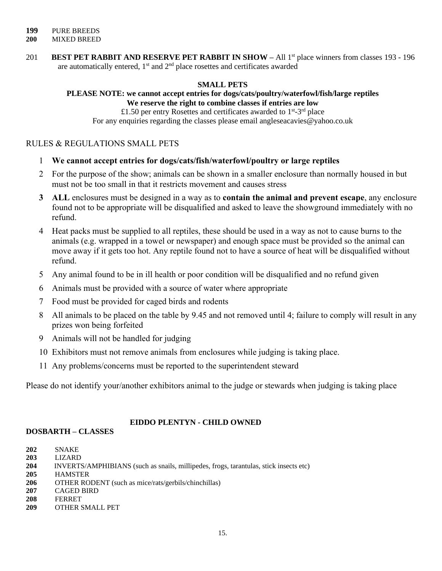201 **BEST PET RABBIT AND RESERVE PET RABBIT IN SHOW** – All 1<sup>st</sup> place winners from classes 193 - 196 are automatically entered,  $1<sup>st</sup>$  and  $2<sup>nd</sup>$  place rosettes and certificates awarded

### **SMALL PETS**

## **PLEASE NOTE: we cannot accept entries for dogs/cats/poultry/waterfowl/fish/large reptiles**

**We reserve the right to combine classes if entries are low**

£1.50 per entry Rosettes and certificates awarded to  $1<sup>st</sup>$ -3<sup>rd</sup> place For any enquiries regarding the classes please email angleseacavies@yahoo.co.uk

### RULES & REGULATIONS SMALL PETS

- 1 **We cannot accept entries for dogs/cats/fish/waterfowl/poultry or large reptiles**
- 2 For the purpose of the show; animals can be shown in a smaller enclosure than normally housed in but must not be too small in that it restricts movement and causes stress
- **3 ALL** enclosures must be designed in a way as to **contain the animal and prevent escape**, any enclosure found not to be appropriate will be disqualified and asked to leave the showground immediately with no refund.
- 4 Heat packs must be supplied to all reptiles, these should be used in a way as not to cause burns to the animals (e.g. wrapped in a towel or newspaper) and enough space must be provided so the animal can move away if it gets too hot. Any reptile found not to have a source of heat will be disqualified without refund.
- 5 Any animal found to be in ill health or poor condition will be disqualified and no refund given
- 6 Animals must be provided with a source of water where appropriate
- 7 Food must be provided for caged birds and rodents
- 8 All animals to be placed on the table by 9.45 and not removed until 4; failure to comply will result in any prizes won being forfeited
- 9 Animals will not be handled for judging
- 10 Exhibitors must not remove animals from enclosures while judging is taking place.
- 11 Any problems/concerns must be reported to the superintendent steward

Please do not identify your/another exhibitors animal to the judge or stewards when judging is taking place

### **EIDDO PLENTYN - CHILD OWNED**

### **DOSBARTH – CLASSES**

- **202** SNAKE
- **203** LIZARD
- **204** INVERTS/AMPHIBIANS (such as snails, millipedes, frogs, tarantulas, stick insects etc)
- **205** HAMSTER
- **206** OTHER RODENT (such as mice/rats/gerbils/chinchillas)
- **207** CAGED BIRD
- **208** FERRET
- **209** OTHER SMALL PET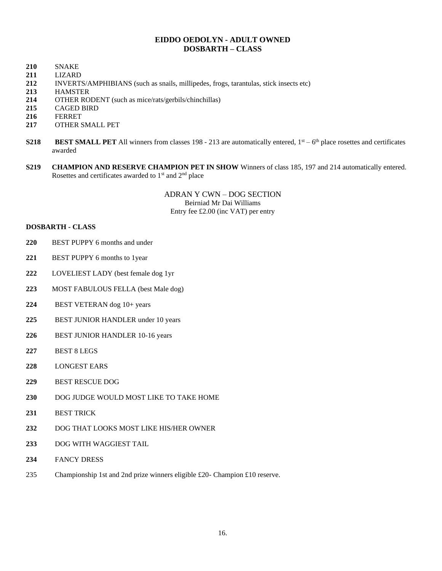### **EIDDO OEDOLYN - ADULT OWNED DOSBARTH – CLASS**

- SNAKE
- LIZARD
- INVERTS/AMPHIBIANS (such as snails, millipedes, frogs, tarantulas, stick insects etc)
- HAMSTER
- OTHER RODENT (such as mice/rats/gerbils/chinchillas)
- CAGED BIRD
- FERRET
- OTHER SMALL PET
- **S218 BEST SMALL PET** All winners from classes 198 213 are automatically entered,  $1<sup>st</sup> 6<sup>th</sup>$  place rosettes and certificates awarded
- **S219 CHAMPION AND RESERVE CHAMPION PET IN SHOW** Winners of class 185, 197 and 214 automatically entered. Rosettes and certificates awarded to  $1<sup>st</sup>$  and  $2<sup>nd</sup>$  place

ADRAN Y CWN – DOG SECTION Beirniad Mr Dai Williams Entry fee £2.00 (inc VAT) per entry

### **DOSBARTH - CLASS**

- BEST PUPPY 6 months and under
- BEST PUPPY 6 months to 1year
- LOVELIEST LADY (best female dog 1yr
- MOST FABULOUS FELLA (best Male dog)
- BEST VETERAN dog 10+ years
- BEST JUNIOR HANDLER under 10 years
- BEST JUNIOR HANDLER 10-16 years
- BEST 8 LEGS
- LONGEST EARS
- BEST RESCUE DOG
- DOG JUDGE WOULD MOST LIKE TO TAKE HOME
- BEST TRICK
- DOG THAT LOOKS MOST LIKE HIS/HER OWNER
- DOG WITH WAGGIEST TAIL
- FANCY DRESS
- Championship 1st and 2nd prize winners eligible £20- Champion £10 reserve.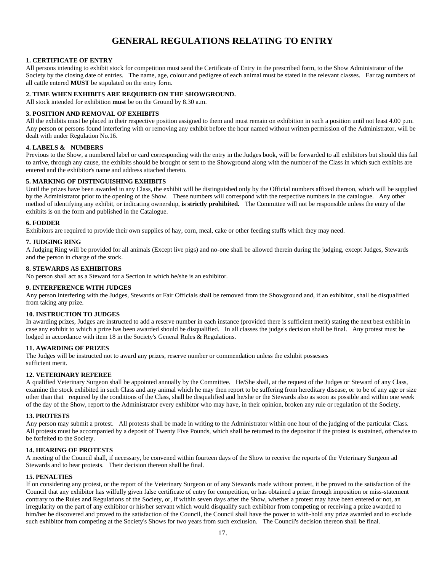## **GENERAL REGULATIONS RELATING TO ENTRY**

#### **1. CERTIFICATE OF ENTRY**

All persons intending to exhibit stock for competition must send the Certificate of Entry in the prescribed form, to the Show Administrator of the Society by the closing date of entries. The name, age, colour and pedigree of each animal must be stated in the relevant classes. Ear tag numbers of all cattle entered **MUST** be stipulated on the entry form.

#### **2. TIME WHEN EXHIBITS ARE REQUIRED ON THE SHOWGROUND.**

All stock intended for exhibition **must** be on the Ground by 8.30 a.m.

#### **3. POSITION AND REMOVAL OF EXHIBITS**

All the exhibits must be placed in their respective position assigned to them and must remain on exhibition in such a position until not least 4.00 p.m. Any person or persons found interfering with or removing any exhibit before the hour named without written permission of the Administrator, will be dealt with under Regulation No.16.

#### **4. LABELS & NUMBERS**

Previous to the Show, a numbered label or card corresponding with the entry in the Judges book, will be forwarded to all exhibitors but should this fail to arrive, through any cause, the exhibits should be brought or sent to the Showground along with the number of the Class in which such exhibits are entered and the exhibitor's name and address attached thereto.

#### **5. MARKING OF DISTINGUISHING EXHIBITS**

Until the prizes have been awarded in any Class, the exhibit will be distinguished only by the Official numbers affixed thereon, which will be supplied by the Administrator prior to the opening of the Show. These numbers will correspond with the respective numbers in the catalogue. Any other method of identifying any exhibit, or indicating ownership, **is strictly prohibited.** The Committee will not be responsible unless the entry of the exhibits is on the form and published in the Catalogue.

#### **6. FODDER**

Exhibitors are required to provide their own supplies of hay, corn, meal, cake or other feeding stuffs which they may need.

#### **7. JUDGING RING**

A Judging Ring will be provided for all animals (Except live pigs) and no-one shall be allowed therein during the judging, except Judges, Stewards and the person in charge of the stock.

#### **8. STEWARDS AS EXHIBITORS**

No person shall act as a Steward for a Section in which he/she is an exhibitor.

#### **9. INTERFERENCE WITH JUDGES**

Any person interfering with the Judges, Stewards or Fair Officials shall be removed from the Showground and, if an exhibitor, shall be disqualified from taking any prize.

#### **10. INSTRUCTION TO JUDGES**

In awarding prizes, Judges are instructed to add a reserve number in each instance (provided there is sufficient merit) stating the next best exhibit in case any exhibit to which a prize has been awarded should be disqualified. In all classes the judge's decision shall be final. Any protest must be lodged in accordance with item 18 in the Society's General Rules & Regulations.

#### **11. AWARDING OF PRIZES**

The Judges will be instructed not to award any prizes, reserve number or commendation unless the exhibit possesses sufficient merit.

#### **12. VETERINARY REFEREE**

A qualified Veterinary Surgeon shall be appointed annually by the Committee. He/She shall, at the request of the Judges or Steward of any Class, examine the stock exhibited in such Class and any animal which he may then report to be suffering from hereditary disease, or to be of any age or size other than that required by the conditions of the Class, shall be disqualified and he/she or the Stewards also as soon as possible and within one week of the day of the Show, report to the Administrator every exhibitor who may have, in their opinion, broken any rule or regulation of the Society.

#### **13. PROTESTS**

Any person may submit a protest. All protests shall be made in writing to the Administrator within one hour of the judging of the particular Class. All protests must be accompanied by a deposit of Twenty Five Pounds, which shall be returned to the depositor if the protest is sustained, otherwise to be forfeited to the Society.

#### **14. HEARING OF PROTESTS**

A meeting of the Council shall, if necessary, be convened within fourteen days of the Show to receive the reports of the Veterinary Surgeon ad Stewards and to hear protests. Their decision thereon shall be final.

#### **15. PENALTIES**

If on considering any protest, or the report of the Veterinary Surgeon or of any Stewards made without protest, it be proved to the satisfaction of the Council that any exhibitor has wilfully given false certificate of entry for competition, or has obtained a prize through imposition or miss-statement contrary to the Rules and Regulations of the Society, or, if within seven days after the Show, whether a protest may have been entered or not, an irregularity on the part of any exhibitor or his/her servant which would disqualify such exhibitor from competing or receiving a prize awarded to him/her be discovered and proved to the satisfaction of the Council, the Council shall have the power to with-hold any prize awarded and to exclude such exhibitor from competing at the Society's Shows for two years from such exclusion. The Council's decision thereon shall be final.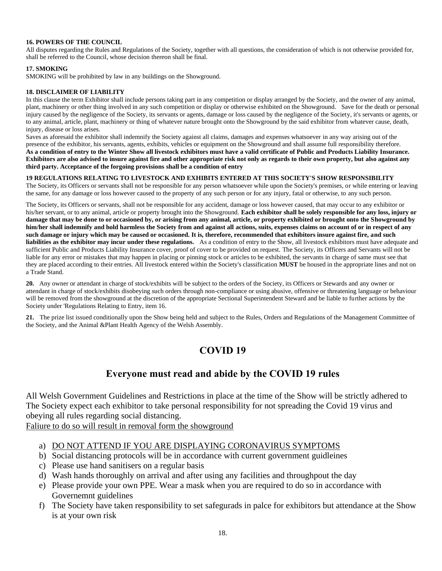#### **16. POWERS OF THE COUNCIL**

All disputes regarding the Rules and Regulations of the Society, together with all questions, the consideration of which is not otherwise provided for, shall be referred to the Council, whose decision thereon shall be final.

#### **17. SMOKING**

SMOKING will be prohibited by law in any buildings on the Showground.

#### **18. DISCLAIMER OF LIABILITY**

In this clause the term Exhibitor shall include persons taking part in any competition or display arranged by the Society, and the owner of any animal, plant, machinery or other thing involved in any such competition or display or otherwise exhibited on the Showground. Save for the death or personal injury caused by the negligence of the Society, its servants or agents, damage or loss caused by the negligence of the Society, it's servants or agents, or to any animal, article, plant, machinery or thing of whatever nature brought onto the Showground by the said exhibitor from whatever cause, death, injury, disease or loss arises.

Saves as aforesaid the exhibitor shall indemnify the Society against all claims, damages and expenses whatsoever in any way arising out of the presence of the exhibitor, his servants, agents, exhibits, vehicles or equipment on the Showground and shall assume full responsibility therefore. **As a condition of entry to the Winter Show all livestock exhibitors must have a valid certificate of Public and Products Liability Insurance. Exhibitors are also advised to insure against fire and other appropriate risk not only as regards to their own property, but also against any third party. Acceptance of the forgoing provisions shall be a condition of entry**

### **19 REGULATIONS RELATING TO LIVESTOCK AND EXHIBITS ENTERED AT THIS SOCIETY'S SHOW RESPONSIBILITY**

The Society, its Officers or servants shall not be responsible for any person whatsoever while upon the Society's premises, or while entering or leaving the same, for any damage or loss however caused to the property of any such person or for any injury, fatal or otherwise, to any such person.

The Society, its Officers or servants, shall not be responsible for any accident, damage or loss however caused, that may occur to any exhibitor or his/her servant, or to any animal, article or property brought into the Showground. **Each exhibitor shall be solely responsible for any loss, injury or damage that may be done to or occasioned by, or arising from any animal, article, or property exhibited or brought onto the Showground by him/her shall indemnify and hold harmless the Society from and against all actions, suits, expenses claims on account of or in respect of any such damage or injury which may be caused or occasioned. It is, therefore, recommended that exhibitors insure against fire, and such liabilities as the exhibitor may incur under these regulations.** As a condition of entry to the Show, all livestock exhibitors must have adequate and sufficient Public and Products Liability Insurance cover, proof of cover to be provided on request. The Society, its Officers and Servants will not be liable for any error or mistakes that may happen in placing or pinning stock or articles to be exhibited, the servants in charge of same must see that they are placed according to their entries. All livestock entered within the Society's classification **MUST** be housed in the appropriate lines and not on a Trade Stand.

**20.** Any owner or attendant in charge of stock/exhibits will be subject to the orders of the Society, its Officers or Stewards and any owner or attendant in charge of stock/exhibits disobeying such orders through non-compliance or using abusive, offensive or threatening language or behaviour will be removed from the showground at the discretion of the appropriate Sectional Superintendent Steward and be liable to further actions by the Society under 'Regulations Relating to Entry, item 16.

**21.** The prize list issued conditionally upon the Show being held and subject to the Rules, Orders and Regulations of the Management Committee of the Society, and the Animal &Plant Health Agency of the Welsh Assembly.

## **COVID 19**

### **Everyone must read and abide by the COVID 19 rules**

All Welsh Government Guidelines and Restrictions in place at the time of the Show will be strictly adhered to The Society expect each exhibitor to take personal responsibility for not spreading the Covid 19 virus and obeying all rules regarding social distancing.

Faliure to do so will result in removal form the showground

- a) DO NOT ATTEND IF YOU ARE DISPLAYING CORONAVIRUS SYMPTOMS
- b) Social distancing protocols will be in accordance with current government guidleines
- c) Please use hand sanitisers on a regular basis
- d) Wash hands thoroughly on arrival and after using any facilities and throughpout the day
- e) Please provide your own PPE. Wear a mask when you are required to do so in accordance with Governemnt guidelines
- f) The Society have taken responsibility to set safegurads in palce for exhibitors but attendance at the Show is at your own risk